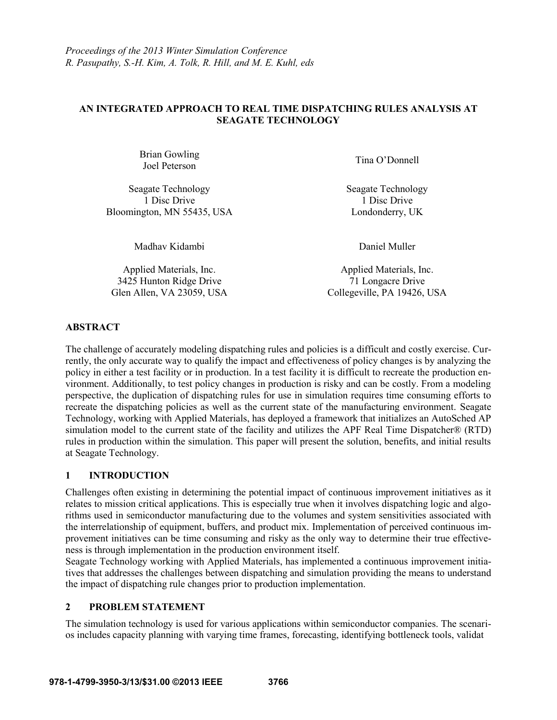## **AN INTEGRATED APPROACH TO REAL TIME DISPATCHING RULES ANALYSIS AT SEAGATE TECHNOLOGY**

Brian Gowling Joel Peterson Tina O'Donnell

Seagate Technology Seagate Technology 1 Disc Drive 1 Disc Drive Bloomington, MN 55435, USA Londonderry, UK

Madhav Kidambi **Daniel Muller** 

Applied Materials, Inc.  $\blacksquare$ 3425 Hunton Ridge Drive 71 Longacre Drive

Glen Allen, VA 23059, USA Collegeville, PA 19426, USA

## **ABSTRACT**

The challenge of accurately modeling dispatching rules and policies is a difficult and costly exercise. Currently, the only accurate way to qualify the impact and effectiveness of policy changes is by analyzing the policy in either a test facility or in production. In a test facility it is difficult to recreate the production environment. Additionally, to test policy changes in production is risky and can be costly. From a modeling perspective, the duplication of dispatching rules for use in simulation requires time consuming efforts to recreate the dispatching policies as well as the current state of the manufacturing environment. Seagate Technology, working with Applied Materials, has deployed a framework that initializes an AutoSched AP simulation model to the current state of the facility and utilizes the APF Real Time Dispatcher® (RTD) rules in production within the simulation. This paper will present the solution, benefits, and initial results at Seagate Technology.

# **1 INTRODUCTION**

Challenges often existing in determining the potential impact of continuous improvement initiatives as it relates to mission critical applications. This is especially true when it involves dispatching logic and algorithms used in semiconductor manufacturing due to the volumes and system sensitivities associated with the interrelationship of equipment, buffers, and product mix. Implementation of perceived continuous improvement initiatives can be time consuming and risky as the only way to determine their true effectiveness is through implementation in the production environment itself.

Seagate Technology working with Applied Materials, has implemented a continuous improvement initiatives that addresses the challenges between dispatching and simulation providing the means to understand the impact of dispatching rule changes prior to production implementation.

# **2 PROBLEM STATEMENT**

The simulation technology is used for various applications within semiconductor companies. The scenarios includes capacity planning with varying time frames, forecasting, identifying bottleneck tools, validat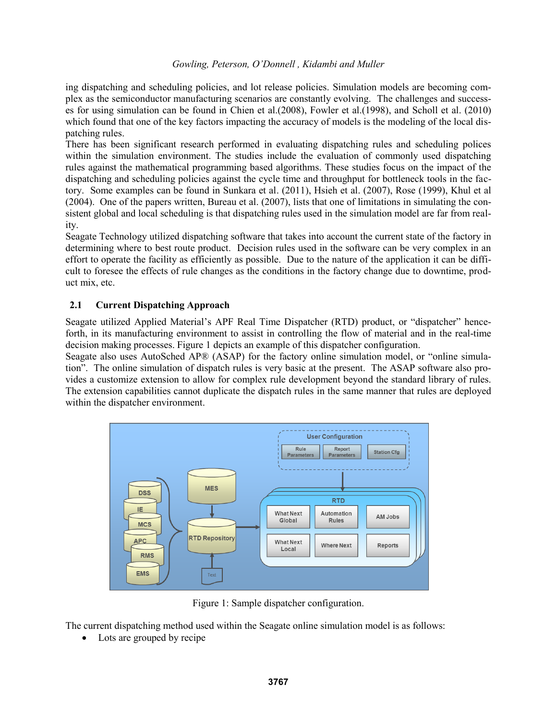ing dispatching and scheduling policies, and lot release policies. Simulation models are becoming complex as the semiconductor manufacturing scenarios are constantly evolving. The challenges and successes for using simulation can be found in Chien et al.(2008), Fowler et al.(1998), and Scholl et al. (2010) which found that one of the key factors impacting the accuracy of models is the modeling of the local dispatching rules.

There has been significant research performed in evaluating dispatching rules and scheduling polices within the simulation environment. The studies include the evaluation of commonly used dispatching rules against the mathematical programming based algorithms. These studies focus on the impact of the dispatching and scheduling policies against the cycle time and throughput for bottleneck tools in the factory. Some examples can be found in Sunkara et al. (2011), Hsieh et al. (2007), Rose (1999), Khul et al (2004). One of the papers written, Bureau et al. (2007), lists that one of limitations in simulating the consistent global and local scheduling is that dispatching rules used in the simulation model are far from reality.

Seagate Technology utilized dispatching software that takes into account the current state of the factory in determining where to best route product. Decision rules used in the software can be very complex in an effort to operate the facility as efficiently as possible. Due to the nature of the application it can be difficult to foresee the effects of rule changes as the conditions in the factory change due to downtime, product mix, etc.

# **2.1 Current Dispatching Approach**

Seagate utilized Applied Material's APF Real Time Dispatcher (RTD) product, or "dispatcher" henceforth, in its manufacturing environment to assist in controlling the flow of material and in the real-time decision making processes. Figure 1 depicts an example of this dispatcher configuration.

Seagate also uses AutoSched AP® (ASAP) for the factory online simulation model, or "online simulation". The online simulation of dispatch rules is very basic at the present. The ASAP software also provides a customize extension to allow for complex rule development beyond the standard library of rules. The extension capabilities cannot duplicate the dispatch rules in the same manner that rules are deployed within the dispatcher environment.



Figure 1: Sample dispatcher configuration.

The current dispatching method used within the Seagate online simulation model is as follows:

• Lots are grouped by recipe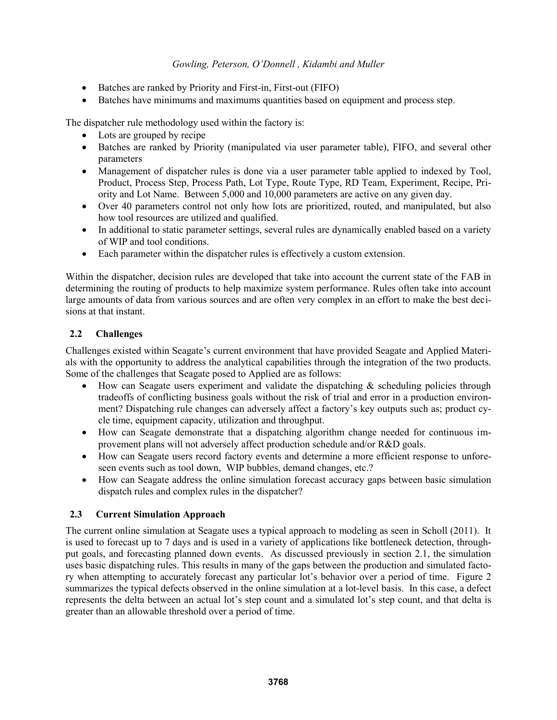- Batches are ranked by Priority and First-in, First-out (FIFO)
- Batches have minimums and maximums quantities based on equipment and process step.

The dispatcher rule methodology used within the factory is:

- Lots are grouped by recipe
- Batches are ranked by Priority (manipulated via user parameter table), FIFO, and several other parameters
- Management of dispatcher rules is done via a user parameter table applied to indexed by Tool, Product, Process Step, Process Path, Lot Type, Route Type, RD Team, Experiment, Recipe, Priority and Lot Name. Between 5,000 and 10,000 parameters are active on any given day.
- Over 40 parameters control not only how lots are prioritized, routed, and manipulated, but also how tool resources are utilized and qualified.
- In additional to static parameter settings, several rules are dynamically enabled based on a variety of WIP and tool conditions.
- Each parameter within the dispatcher rules is effectively a custom extension.

Within the dispatcher, decision rules are developed that take into account the current state of the FAB in determining the routing of products to help maximize system performance. Rules often take into account large amounts of data from various sources and are often very complex in an effort to make the best decisions at that instant.

## **2.2 Challenges**

Challenges existed within Seagate's current environment that have provided Seagate and Applied Materials with the opportunity to address the analytical capabilities through the integration of the two products. Some of the challenges that Seagate posed to Applied are as follows:

- $\bullet$  How can Seagate users experiment and validate the dispatching & scheduling policies through tradeoffs of conflicting business goals without the risk of trial and error in a production environment? Dispatching rule changes can adversely affect a factory's key outputs such as; product cycle time, equipment capacity, utilization and throughput.
- How can Seagate demonstrate that a dispatching algorithm change needed for continuous improvement plans will not adversely affect production schedule and/or R&D goals.
- How can Seagate users record factory events and determine a more efficient response to unforeseen events such as tool down, WIP bubbles, demand changes, etc.?
- How can Seagate address the online simulation forecast accuracy gaps between basic simulation dispatch rules and complex rules in the dispatcher?

### **2.3 Current Simulation Approach**

The current online simulation at Seagate uses a typical approach to modeling as seen in Scholl (2011). It is used to forecast up to 7 days and is used in a variety of applications like bottleneck detection, throughput goals, and forecasting planned down events. As discussed previously in section 2.1, the simulation uses basic dispatching rules. This results in many of the gaps between the production and simulated factory when attempting to accurately forecast any particular lot's behavior over a period of time. Figure 2 summarizes the typical defects observed in the online simulation at a lot-level basis. In this case, a defect represents the delta between an actual lot's step count and a simulated lot's step count, and that delta is greater than an allowable threshold over a period of time.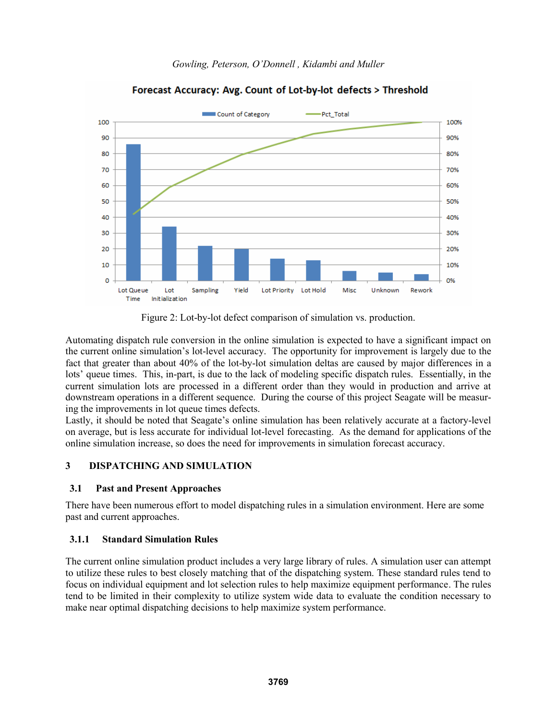

Forecast Accuracy: Avg. Count of Lot-by-lot defects > Threshold

Figure 2: Lot-by-lot defect comparison of simulation vs. production.

Automating dispatch rule conversion in the online simulation is expected to have a significant impact on the current online simulation's lot-level accuracy. The opportunity for improvement is largely due to the fact that greater than about 40% of the lot-by-lot simulation deltas are caused by major differences in a lots' queue times. This, in-part, is due to the lack of modeling specific dispatch rules. Essentially, in the current simulation lots are processed in a different order than they would in production and arrive at downstream operations in a different sequence. During the course of this project Seagate will be measuring the improvements in lot queue times defects.

Lastly, it should be noted that Seagate's online simulation has been relatively accurate at a factory-level on average, but is less accurate for individual lot-level forecasting. As the demand for applications of the online simulation increase, so does the need for improvements in simulation forecast accuracy.

# **3 DISPATCHING AND SIMULATION**

### **3.1 Past and Present Approaches**

There have been numerous effort to model dispatching rules in a simulation environment. Here are some past and current approaches.

### **3.1.1 Standard Simulation Rules**

The current online simulation product includes a very large library of rules. A simulation user can attempt to utilize these rules to best closely matching that of the dispatching system. These standard rules tend to focus on individual equipment and lot selection rules to help maximize equipment performance. The rules tend to be limited in their complexity to utilize system wide data to evaluate the condition necessary to make near optimal dispatching decisions to help maximize system performance.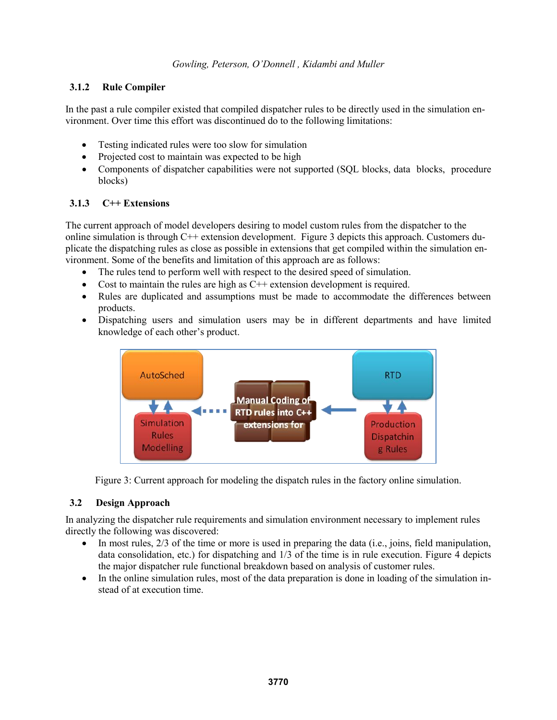# **3.1.2 Rule Compiler**

In the past a rule compiler existed that compiled dispatcher rules to be directly used in the simulation environment. Over time this effort was discontinued do to the following limitations:

- Testing indicated rules were too slow for simulation
- Projected cost to maintain was expected to be high
- Components of dispatcher capabilities were not supported (SQL blocks, data blocks, procedure blocks)

# **3.1.3 C++ Extensions**

The current approach of model developers desiring to model custom rules from the dispatcher to the online simulation is through C++ extension development. Figure 3 depicts this approach. Customers duplicate the dispatching rules as close as possible in extensions that get compiled within the simulation environment. Some of the benefits and limitation of this approach are as follows:

- The rules tend to perform well with respect to the desired speed of simulation.
- Cost to maintain the rules are high as C++ extension development is required.
- Rules are duplicated and assumptions must be made to accommodate the differences between products.
- Dispatching users and simulation users may be in different departments and have limited knowledge of each other's product.



Figure 3: Current approach for modeling the dispatch rules in the factory online simulation.

# **3.2 Design Approach**

In analyzing the dispatcher rule requirements and simulation environment necessary to implement rules directly the following was discovered:

- $\bullet$  In most rules, 2/3 of the time or more is used in preparing the data (i.e., joins, field manipulation, data consolidation, etc.) for dispatching and 1/3 of the time is in rule execution. Figure 4 depicts the major dispatcher rule functional breakdown based on analysis of customer rules.
- In the online simulation rules, most of the data preparation is done in loading of the simulation instead of at execution time.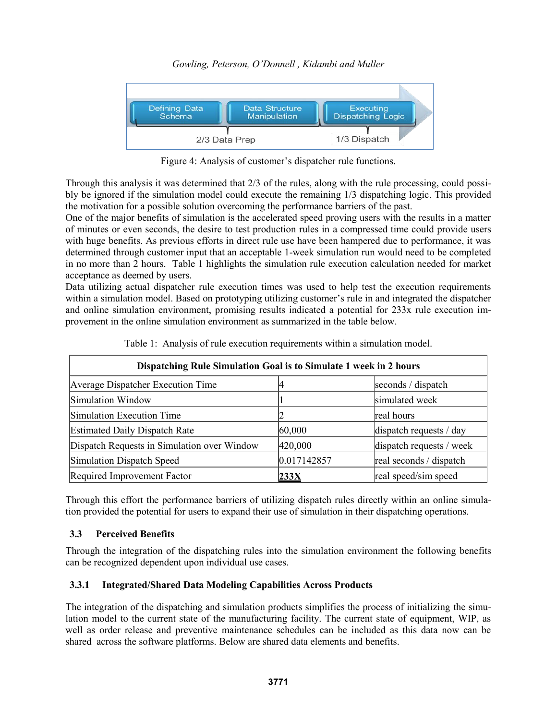



Figure 4: Analysis of customer's dispatcher rule functions.

Through this analysis it was determined that 2/3 of the rules, along with the rule processing, could possibly be ignored if the simulation model could execute the remaining 1/3 dispatching logic. This provided the motivation for a possible solution overcoming the performance barriers of the past.

One of the major benefits of simulation is the accelerated speed proving users with the results in a matter of minutes or even seconds, the desire to test production rules in a compressed time could provide users with huge benefits. As previous efforts in direct rule use have been hampered due to performance, it was determined through customer input that an acceptable 1-week simulation run would need to be completed in no more than 2 hours. Table 1 highlights the simulation rule execution calculation needed for market acceptance as deemed by users.

Data utilizing actual dispatcher rule execution times was used to help test the execution requirements within a simulation model. Based on prototyping utilizing customer's rule in and integrated the dispatcher and online simulation environment, promising results indicated a potential for 233x rule execution improvement in the online simulation environment as summarized in the table below.

| Dispatching Rule Simulation Goal is to Simulate 1 week in 2 hours |             |                           |  |  |  |  |
|-------------------------------------------------------------------|-------------|---------------------------|--|--|--|--|
| Average Dispatcher Execution Time                                 |             | seconds / dispatch        |  |  |  |  |
| Simulation Window                                                 |             | simulated week            |  |  |  |  |
| Simulation Execution Time                                         |             | real hours                |  |  |  |  |
| <b>Estimated Daily Dispatch Rate</b>                              | 60,000      | dispatch requests $/$ day |  |  |  |  |
| Dispatch Requests in Simulation over Window                       | 420,000     | dispatch requests / week  |  |  |  |  |
| Simulation Dispatch Speed                                         | 0.017142857 | real seconds / dispatch   |  |  |  |  |
| Required Improvement Factor                                       | 233X        | real speed/sim speed      |  |  |  |  |

Table 1: Analysis of rule execution requirements within a simulation model.

Through this effort the performance barriers of utilizing dispatch rules directly within an online simulation provided the potential for users to expand their use of simulation in their dispatching operations.

# **3.3 Perceived Benefits**

Through the integration of the dispatching rules into the simulation environment the following benefits can be recognized dependent upon individual use cases.

# **3.3.1 Integrated/Shared Data Modeling Capabilities Across Products**

The integration of the dispatching and simulation products simplifies the process of initializing the simulation model to the current state of the manufacturing facility. The current state of equipment, WIP, as well as order release and preventive maintenance schedules can be included as this data now can be shared across the software platforms. Below are shared data elements and benefits.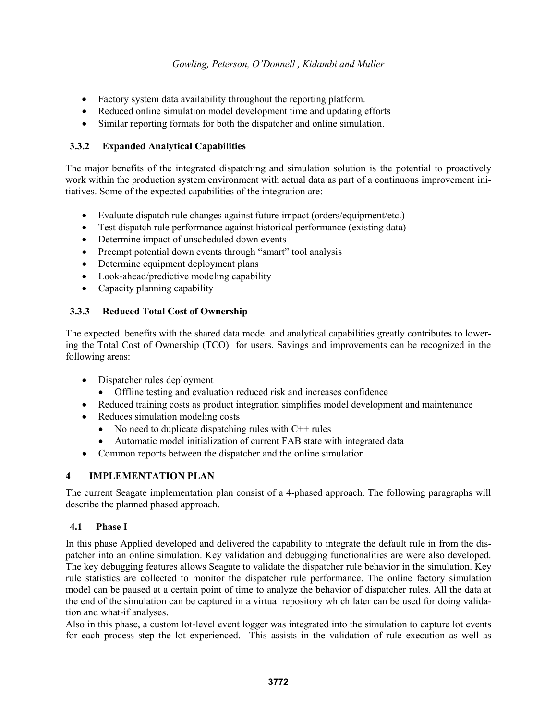- Factory system data availability throughout the reporting platform.
- Reduced online simulation model development time and updating efforts
- Similar reporting formats for both the dispatcher and online simulation.

## **3.3.2 Expanded Analytical Capabilities**

The major benefits of the integrated dispatching and simulation solution is the potential to proactively work within the production system environment with actual data as part of a continuous improvement initiatives. Some of the expected capabilities of the integration are:

- Evaluate dispatch rule changes against future impact (orders/equipment/etc.)
- Test dispatch rule performance against historical performance (existing data)
- Determine impact of unscheduled down events
- Preempt potential down events through "smart" tool analysis
- Determine equipment deployment plans
- Look-ahead/predictive modeling capability
- Capacity planning capability

## **3.3.3 Reduced Total Cost of Ownership**

The expected benefits with the shared data model and analytical capabilities greatly contributes to lowering the Total Cost of Ownership (TCO) for users. Savings and improvements can be recognized in the following areas:

- Dispatcher rules deployment
	- Offline testing and evaluation reduced risk and increases confidence
- Reduced training costs as product integration simplifies model development and maintenance
- Reduces simulation modeling costs
	- No need to duplicate dispatching rules with  $C++$  rules
	- Automatic model initialization of current FAB state with integrated data
- Common reports between the dispatcher and the online simulation

### **4 IMPLEMENTATION PLAN**

The current Seagate implementation plan consist of a 4-phased approach. The following paragraphs will describe the planned phased approach.

### **4.1 Phase I**

In this phase Applied developed and delivered the capability to integrate the default rule in from the dispatcher into an online simulation. Key validation and debugging functionalities are were also developed. The key debugging features allows Seagate to validate the dispatcher rule behavior in the simulation. Key rule statistics are collected to monitor the dispatcher rule performance. The online factory simulation model can be paused at a certain point of time to analyze the behavior of dispatcher rules. All the data at the end of the simulation can be captured in a virtual repository which later can be used for doing validation and what-if analyses.

Also in this phase, a custom lot-level event logger was integrated into the simulation to capture lot events for each process step the lot experienced. This assists in the validation of rule execution as well as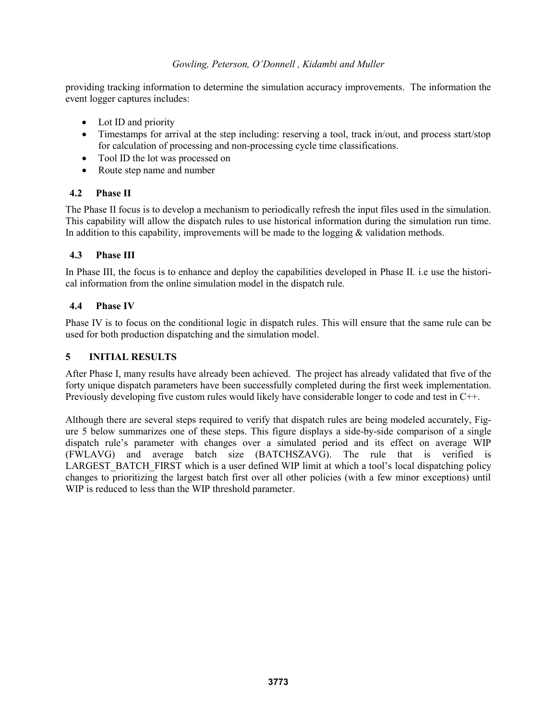providing tracking information to determine the simulation accuracy improvements. The information the event logger captures includes:

- Lot ID and priority
- Timestamps for arrival at the step including: reserving a tool, track in/out, and process start/stop for calculation of processing and non-processing cycle time classifications.
- Tool ID the lot was processed on
- Route step name and number

## **4.2 Phase II**

The Phase II focus is to develop a mechanism to periodically refresh the input files used in the simulation. This capability will allow the dispatch rules to use historical information during the simulation run time. In addition to this capability, improvements will be made to the logging  $\&$  validation methods.

## **4.3 Phase III**

In Phase III, the focus is to enhance and deploy the capabilities developed in Phase II. i.e use the historical information from the online simulation model in the dispatch rule.

### **4.4 Phase IV**

Phase IV is to focus on the conditional logic in dispatch rules. This will ensure that the same rule can be used for both production dispatching and the simulation model.

## **5 INITIAL RESULTS**

After Phase I, many results have already been achieved. The project has already validated that five of the forty unique dispatch parameters have been successfully completed during the first week implementation. Previously developing five custom rules would likely have considerable longer to code and test in C++.

Although there are several steps required to verify that dispatch rules are being modeled accurately, Figure 5 below summarizes one of these steps. This figure displays a side-by-side comparison of a single dispatch rule's parameter with changes over a simulated period and its effect on average WIP (FWLAVG) and average batch size (BATCHSZAVG). The rule that is verified is LARGEST BATCH FIRST which is a user defined WIP limit at which a tool's local dispatching policy changes to prioritizing the largest batch first over all other policies (with a few minor exceptions) until WIP is reduced to less than the WIP threshold parameter.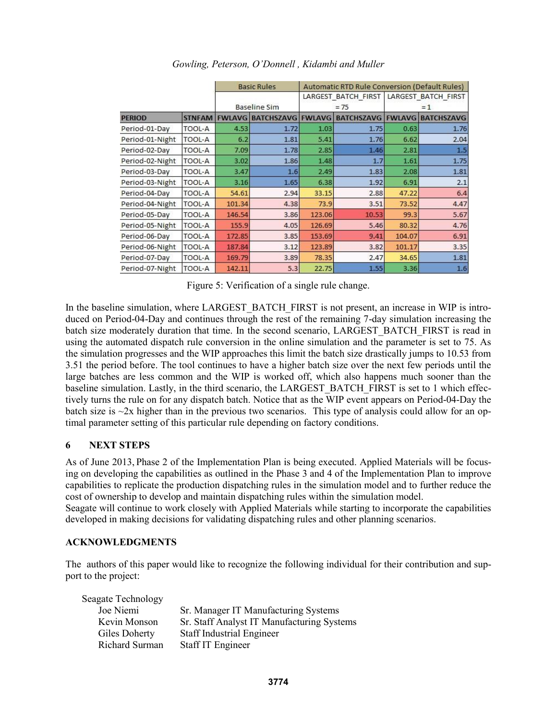|                 |               | <b>Basic Rules</b>  |                          | <b>Automatic RTD Rule Conversion (Default Rules)</b> |                     |               |                     |
|-----------------|---------------|---------------------|--------------------------|------------------------------------------------------|---------------------|---------------|---------------------|
|                 |               |                     |                          |                                                      | LARGEST BATCH FIRST |               | LARGEST BATCH FIRST |
|                 |               | <b>Baseline Sim</b> |                          | $= 75$                                               |                     | $=1$          |                     |
| <b>PERIOD</b>   | <b>STNFAM</b> |                     | <b>FWLAVG BATCHSZAVG</b> | <b>FWLAVG</b>                                        | <b>BATCHSZAVG</b>   | <b>FWLAVG</b> | <b>BATCHSZAVG</b>   |
| Period-01-Day   | <b>TOOL-A</b> | 4.53                | 1.72                     | 1.03                                                 | 1.75                | 0.63          | 1.76                |
| Period-01-Night | <b>TOOL-A</b> | 6.2                 | 1.81                     | 5.41                                                 | 1.76                | 6.62          | 2.04                |
| Period-02-Day   | <b>TOOL-A</b> | 7.09                | 1.78                     | 2.85                                                 | 1.46                | 2.81          | 1.5                 |
| Period-02-Night | <b>TOOL-A</b> | 3.02                | 1.86                     | 1.48                                                 | 1.7                 | 1.61          | 1.75                |
| Period-03-Day   | <b>TOOL-A</b> | 3.47                | 1.6                      | 2.49                                                 | 1.83                | 2.08          | 1.81                |
| Period-03-Night | <b>TOOL-A</b> | 3.16                | 1.65                     | 6.38                                                 | 1.92                | 6.91          | 2.1                 |
| Period-04-Day   | <b>TOOL-A</b> | 54.61               | 2.94                     | 33.15                                                | 2.88                | 47.22         | 6.4                 |
| Period-04-Night | <b>TOOL-A</b> | 101.34              | 4.38                     | 73.9                                                 | 3.51                | 73.52         | 4.47                |
| Period-05-Day   | <b>TOOL-A</b> | 146.54              | 3.86                     | 123.06                                               | 10.53               | 99.3          | 5.67                |
| Period-05-Night | <b>TOOL-A</b> | 155.9               | 4.05                     | 126.69                                               | 5.46                | 80.32         | 4.76                |
| Period-06-Day   | <b>TOOL-A</b> | 172.85              | 3.85                     | 153.69                                               | 9.41                | 104.07        | 6.91                |
| Period-06-Night | <b>TOOL-A</b> | 187.84              | 3.12                     | 123.89                                               | 3.82                | 101.17        | 3.35                |
| Period-07-Day   | TOOL-A        | 169.79              | 3.89                     | 78.35                                                | 2.47                | 34.65         | 1.81                |
| Period-07-Night | <b>TOOL-A</b> | 142.11              | 5.3                      | 22.75                                                | 1.55                | 3.36          | 1.6                 |

*Gowling, Peterson, O'Donnell , Kidambi and Muller*

Figure 5: Verification of a single rule change.

In the baseline simulation, where LARGEST\_BATCH\_FIRST is not present, an increase in WIP is introduced on Period-04-Day and continues through the rest of the remaining 7-day simulation increasing the batch size moderately duration that time. In the second scenario, LARGEST\_BATCH\_FIRST is read in using the automated dispatch rule conversion in the online simulation and the parameter is set to 75. As the simulation progresses and the WIP approaches this limit the batch size drastically jumps to 10.53 from 3.51 the period before. The tool continues to have a higher batch size over the next few periods until the large batches are less common and the WIP is worked off, which also happens much sooner than the baseline simulation. Lastly, in the third scenario, the LARGEST\_BATCH\_FIRST is set to 1 which effectively turns the rule on for any dispatch batch. Notice that as the WIP event appears on Period-04-Day the batch size is  $\sim$ 2x higher than in the previous two scenarios. This type of analysis could allow for an optimal parameter setting of this particular rule depending on factory conditions.

# **6 NEXT STEPS**

As of June 2013, Phase 2 of the Implementation Plan is being executed. Applied Materials will be focusing on developing the capabilities as outlined in the Phase 3 and 4 of the Implementation Plan to improve capabilities to replicate the production dispatching rules in the simulation model and to further reduce the cost of ownership to develop and maintain dispatching rules within the simulation model.

Seagate will continue to work closely with Applied Materials while starting to incorporate the capabilities developed in making decisions for validating dispatching rules and other planning scenarios.

# **ACKNOWLEDGMENTS**

The authors of this paper would like to recognize the following individual for their contribution and support to the project:

| Seagate Technology |                                            |
|--------------------|--------------------------------------------|
| Joe Niemi          | Sr. Manager IT Manufacturing Systems       |
| Kevin Monson       | Sr. Staff Analyst IT Manufacturing Systems |
| Giles Doherty      | <b>Staff Industrial Engineer</b>           |
| Richard Surman     | <b>Staff IT Engineer</b>                   |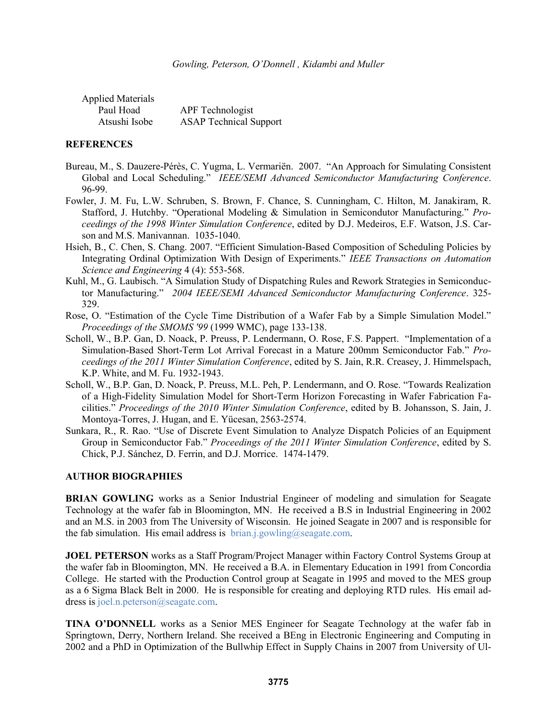| <b>Applied Materials</b> |                               |
|--------------------------|-------------------------------|
| Paul Hoad                | APF Technologist              |
| Atsushi Isobe            | <b>ASAP</b> Technical Support |

#### **REFERENCES**

- Bureau, M., S. Dauzere-Pérès, C. Yugma, L. Vermariën. 2007. "An Approach for Simulating Consistent Global and Local Scheduling." *IEEE/SEMI Advanced Semiconductor Manufacturing Conference*. 96-99.
- Fowler, J. M. Fu, L.W. Schruben, S. Brown, F. Chance, S. Cunningham, C. Hilton, M. Janakiram, R. Stafford, J. Hutchby. "Operational Modeling & Simulation in Semicondutor Manufacturing." *Proceedings of the 1998 Winter Simulation Conference*, edited by D.J. Medeiros, E.F. Watson, J.S. Carson and M.S. Manivannan. 1035-1040.
- Hsieh, B., C. Chen, S. Chang. 2007. "Efficient Simulation-Based Composition of Scheduling Policies by Integrating Ordinal Optimization With Design of Experiments." *IEEE Transactions on Automation Science and Engineering* 4 (4): 553-568.
- Kuhl, M., G. Laubisch. "A Simulation Study of Dispatching Rules and Rework Strategies in Semiconductor Manufacturing." *2004 IEEE/SEMI Advanced Semiconductor Manufacturing Conference*. 325- 329.
- Rose, O. "Estimation of the Cycle Time Distribution of a Wafer Fab by a Simple Simulation Model." *Proceedings of the SMOMS '99* (1999 WMC), page 133-138.
- Scholl, W., B.P. Gan, D. Noack, P. Preuss, P. Lendermann, O. Rose, F.S. Pappert. "Implementation of a Simulation-Based Short-Term Lot Arrival Forecast in a Mature 200mm Semiconductor Fab." *Proceedings of the 2011 Winter Simulation Conference*, edited by S. Jain, R.R. Creasey, J. Himmelspach, K.P. White, and M. Fu. 1932-1943.
- Scholl, W., B.P. Gan, D. Noack, P. Preuss, M.L. Peh, P. Lendermann, and O. Rose. "Towards Realization of a High-Fidelity Simulation Model for Short-Term Horizon Forecasting in Wafer Fabrication Facilities." *Proceedings of the 2010 Winter Simulation Conference*, edited by B. Johansson, S. Jain, J. Montoya-Torres, J. Hugan, and E. Yücesan, 2563-2574.
- Sunkara, R., R. Rao. "Use of Discrete Event Simulation to Analyze Dispatch Policies of an Equipment Group in Semiconductor Fab." *Proceedings of the 2011 Winter Simulation Conference*, edited by S. Chick, P.J. Sánchez, D. Ferrin, and D.J. Morrice. 1474-1479.

### **AUTHOR BIOGRAPHIES**

**BRIAN GOWLING** works as a Senior Industrial Engineer of modeling and simulation for Seagate Technology at the wafer fab in Bloomington, MN. He received a B.S in Industrial Engineering in 2002 and an M.S. in 2003 from The University of Wisconsin. He joined Seagate in 2007 and is responsible for the fab simulation. His email address is  $brain.i.govling@seagate.com$ .

**JOEL PETERSON** works as a Staff Program/Project Manager within Factory Control Systems Group at the wafer fab in Bloomington, MN. He received a B.A. in Elementary Education in 1991 from Concordia College. He started with the Production Control group at Seagate in 1995 and moved to the MES group as a 6 Sigma Black Belt in 2000. He is responsible for creating and deploying RTD rules. His email address is joel.n.peterson@seagate.com.

**TINA O'DONNELL** works as a Senior MES Engineer for Seagate Technology at the wafer fab in Springtown, Derry, Northern Ireland. She received a BEng in Electronic Engineering and Computing in 2002 and a PhD in Optimization of the Bullwhip Effect in Supply Chains in 2007 from University of Ul